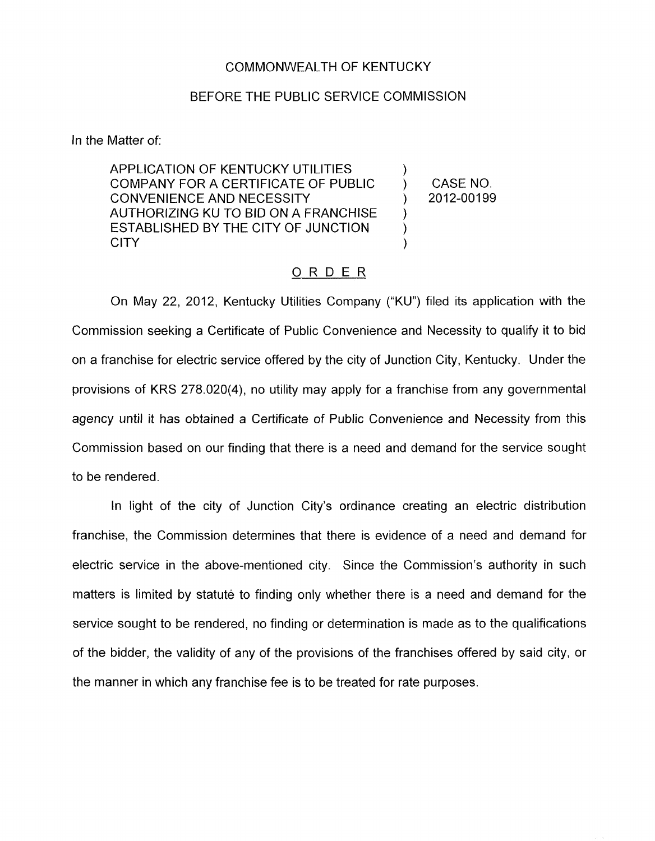## COMMONWEALTH OF KENTUCKY

## BEFORE THE PUBLIC SERVICE COMMISSION

In the Matter of:

APPLICATION OF KENTUCKY UTILITIES  $\bigcup_{n=1}^{\infty}$ COMPANY FOR A CERTIFICATE OF PUBLIC  $\qquad$  ) CASE NO.<br>CONVENIENCE AND NECESSITY (2012-00199 CONVENIENCE AND NECESSITY (2012) AUTHORIZING KU TO BID ON A FRANCHISE ESTABLISHED BY THE CITY OF JUNCTION  $\overrightarrow{O}$ CITY (1999)

)

## ORDER

On May 22, 2012, Kentucky Utilities Company ("KU") filed its application with the Commission seeking a Certificate of Public Convenience and Necessity to qualify it to bid on a franchise for electric service offered by the city of Junction City, Kentucky. Under the provisions of KRS 278.020(4), no utility may apply for a franchise from any governmental agency until it has obtained a Certificate of Public Convenience and Necessity from this Commission based on our finding that there is a need and demand for the service sought to be rendered.

In light of the city of Junction City's ordinance creating an electric distribution franchise, the Commission determines that there is evidence of a need and demand for electric service in the above-mentioned city. Since the Commission's authority in such matters is limited by statute to finding only whether there is a need and demand for the service sought to be rendered, no finding or determination is made as to the qualifications of the bidder, the validity of any of the provisions of the franchises offered by said city, or the manner in which any franchise fee is to be treated for rate purposes.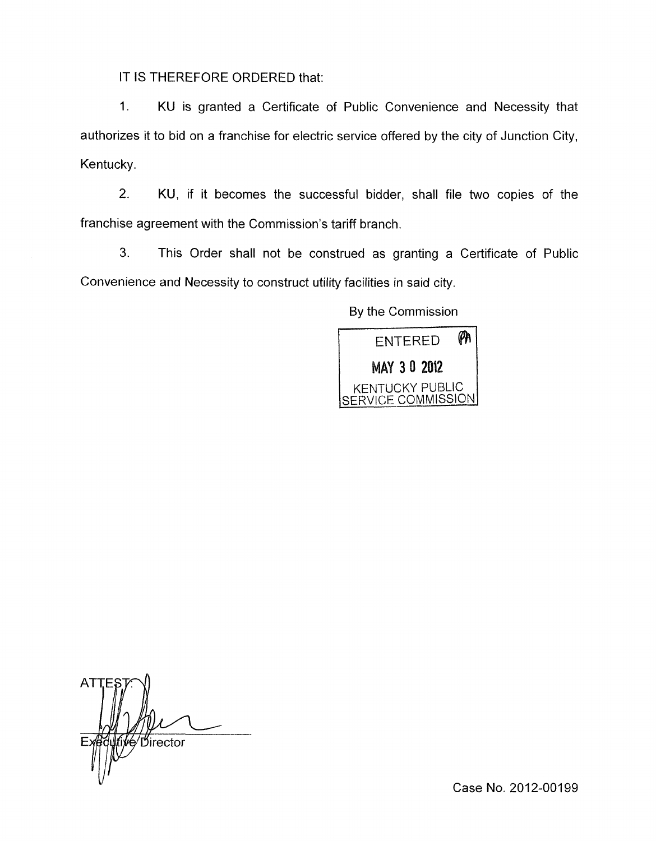IT IS THEREFORE ORDERED that:

1. KU is granted a Certificate of Public Convenience and Necessity that authorizes it to bid on a franchise for electric service offered by the city of Junction City, Kentucky.

2. KU, if it becomes the successful bidder, shall file two copies of the franchise agreement with the Commission's tariff branch.

**3.** This Order shall not be construed as granting a Certificate of Public Convenience and Necessity to construct utility facilities in said city.

By the Commission



\_\_ Director

Case No. 2012-00199